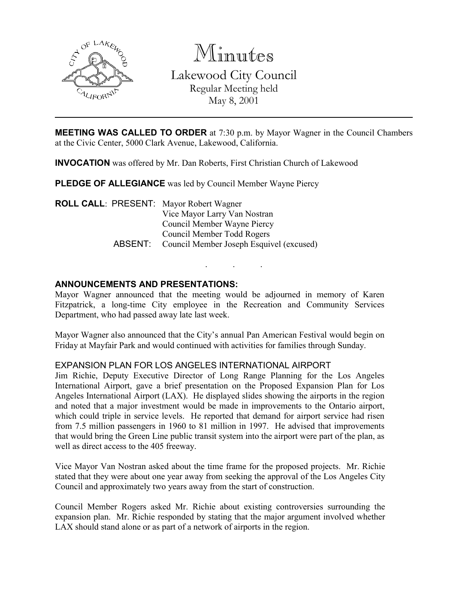

Minutes

Lakewood City Council Regular Meeting held May 8, 2001

**MEETING WAS CALLED TO ORDER** at 7:30 p.m. by Mayor Wagner in the Council Chambers at the Civic Center, 5000 Clark Avenue, Lakewood, California.

INVOCATION was offered by Mr. Dan Roberts, First Christian Church of Lakewood

PLEDGE OF ALLEGIANCE was led by Council Member Wayne Piercy

ROLL CALL: PRESENT: Mayor Robert Wagner Vice Mayor Larry Van Nostran Council Member Wayne Piercy Council Member Todd Rogers ABSENT: Council Member Joseph Esquivel (excused)

# ANNOUNCEMENTS AND PRESENTATIONS:

Mayor Wagner announced that the meeting would be adjourned in memory of Karen Fitzpatrick, a long-time City employee in the Recreation and Community Services Department, who had passed away late last week.

. . .

Mayor Wagner also announced that the City's annual Pan American Festival would begin on Friday at Mayfair Park and would continued with activities for families through Sunday.

#### EXPANSION PLAN FOR LOS ANGELES INTERNATIONAL AIRPORT

Jim Richie, Deputy Executive Director of Long Range Planning for the Los Angeles International Airport, gave a brief presentation on the Proposed Expansion Plan for Los Angeles International Airport (LAX). He displayed slides showing the airports in the region and noted that a major investment would be made in improvements to the Ontario airport, which could triple in service levels. He reported that demand for airport service had risen from 7.5 million passengers in 1960 to 81 million in 1997. He advised that improvements that would bring the Green Line public transit system into the airport were part of the plan, as well as direct access to the 405 freeway.

Vice Mayor Van Nostran asked about the time frame for the proposed projects. Mr. Richie stated that they were about one year away from seeking the approval of the Los Angeles City Council and approximately two years away from the start of construction.

Council Member Rogers asked Mr. Richie about existing controversies surrounding the expansion plan. Mr. Richie responded by stating that the major argument involved whether LAX should stand alone or as part of a network of airports in the region.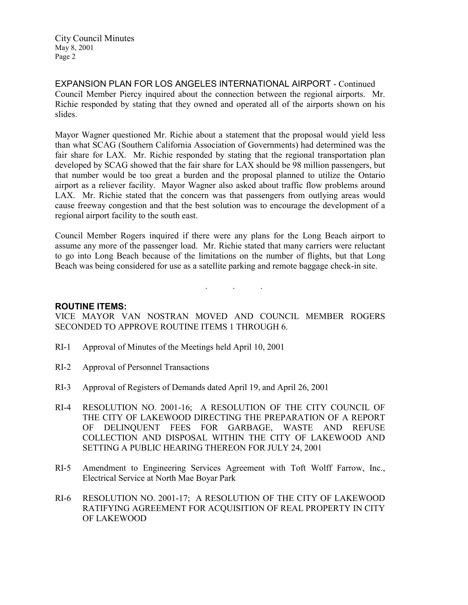EXPANSION PLAN FOR LOS ANGELES INTERNATIONAL AIRPORT - Continued Council Member Piercy inquired about the connection between the regional airports. Mr. Richie responded by stating that they owned and operated all of the airports shown on his slides.

Mayor Wagner questioned Mr. Richie about a statement that the proposal would yield less than what SCAG (Southern California Association of Governments) had determined was the fair share for LAX. Mr. Richie responded by stating that the regional transportation plan developed by SCAG showed that the fair share for LAX should be 98 million passengers, but that number would be too great a burden and the proposal planned to utilize the Ontario airport as a reliever facility. Mayor Wagner also asked about traffic flow problems around LAX. Mr. Richie stated that the concern was that passengers from outlying areas would cause freeway congestion and that the best solution was to encourage the development of a regional airport facility to the south east.

Council Member Rogers inquired if there were any plans for the Long Beach airport to assume any more of the passenger load. Mr. Richie stated that many carriers were reluctant to go into Long Beach because of the limitations on the number of flights, but that Long Beach was being considered for use as a satellite parking and remote baggage check-in site.

. . .

#### ROUTINE ITEMS:

VICE MAYOR VAN NOSTRAN MOVED AND COUNCIL MEMBER ROGERS SECONDED TO APPROVE ROUTINE ITEMS 1 THROUGH 6.

- RI-1 Approval of Minutes of the Meetings held April 10, 2001
- RI-2 Approval of Personnel Transactions
- RI-3 Approval of Registers of Demands dated April 19, and April 26, 2001
- RI-4 RESOLUTION NO. 2001-16; A RESOLUTION OF THE CITY COUNCIL OF THE CITY OF LAKEWOOD DIRECTING THE PREPARATION OF A REPORT OF DELINQUENT FEES FOR GARBAGE, WASTE AND REFUSE COLLECTION AND DISPOSAL WITHIN THE CITY OF LAKEWOOD AND SETTING A PUBLIC HEARING THEREON FOR JULY 24, 2001
- RI-5 Amendment to Engineering Services Agreement with Toft Wolff Farrow, Inc., Electrical Service at North Mae Boyar Park
- RI-6 RESOLUTION NO. 2001-17; A RESOLUTION OF THE CITY OF LAKEWOOD RATIFYING AGREEMENT FOR ACQUISITION OF REAL PROPERTY IN CITY OF LAKEWOOD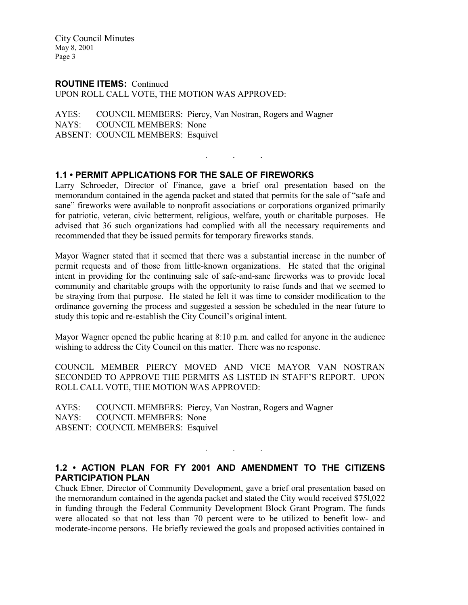#### ROUTINE ITEMS: Continued

UPON ROLL CALL VOTE, THE MOTION WAS APPROVED:

AYES: COUNCIL MEMBERS: Piercy, Van Nostran, Rogers and Wagner NAYS: COUNCIL MEMBERS: None ABSENT: COUNCIL MEMBERS: Esquivel

# 1.1 • PERMIT APPLICATIONS FOR THE SALE OF FIREWORKS

Larry Schroeder, Director of Finance, gave a brief oral presentation based on the memorandum contained in the agenda packet and stated that permits for the sale of "safe and sane" fireworks were available to nonprofit associations or corporations organized primarily for patriotic, veteran, civic betterment, religious, welfare, youth or charitable purposes. He advised that 36 such organizations had complied with all the necessary requirements and recommended that they be issued permits for temporary fireworks stands.

 $\mathbf{r}$  . The set of the set of  $\mathbf{r}$ 

Mayor Wagner stated that it seemed that there was a substantial increase in the number of permit requests and of those from little-known organizations. He stated that the original intent in providing for the continuing sale of safe-and-sane fireworks was to provide local community and charitable groups with the opportunity to raise funds and that we seemed to be straying from that purpose. He stated he felt it was time to consider modification to the ordinance governing the process and suggested a session be scheduled in the near future to study this topic and re-establish the City Council's original intent.

Mayor Wagner opened the public hearing at 8:10 p.m. and called for anyone in the audience wishing to address the City Council on this matter. There was no response.

COUNCIL MEMBER PIERCY MOVED AND VICE MAYOR VAN NOSTRAN SECONDED TO APPROVE THE PERMITS AS LISTED IN STAFF'S REPORT. UPON ROLL CALL VOTE, THE MOTION WAS APPROVED:

AYES: COUNCIL MEMBERS: Piercy, Van Nostran, Rogers and Wagner NAYS: COUNCIL MEMBERS: None ABSENT: COUNCIL MEMBERS: Esquivel

# 1.2 • ACTION PLAN FOR FY 2001 AND AMENDMENT TO THE CITIZENS PARTICIPATION PLAN

. . .

Chuck Ebner, Director of Community Development, gave a brief oral presentation based on the memorandum contained in the agenda packet and stated the City would received \$75l,022 in funding through the Federal Community Development Block Grant Program. The funds were allocated so that not less than 70 percent were to be utilized to benefit low- and moderate-income persons. He briefly reviewed the goals and proposed activities contained in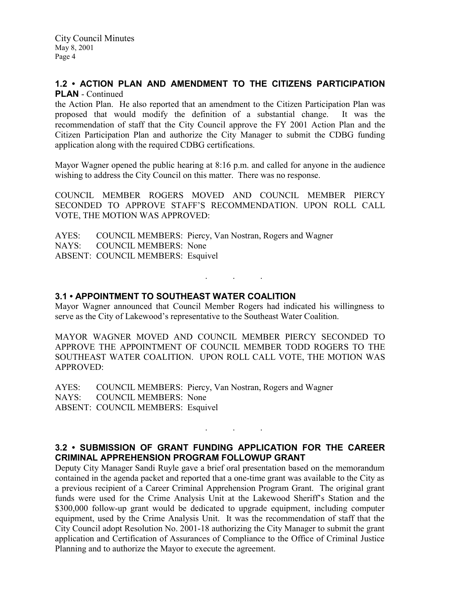## 1.2 • ACTION PLAN AND AMENDMENT TO THE CITIZENS PARTICIPATION PLAN - Continued

the Action Plan. He also reported that an amendment to the Citizen Participation Plan was proposed that would modify the definition of a substantial change. It was the recommendation of staff that the City Council approve the FY 2001 Action Plan and the Citizen Participation Plan and authorize the City Manager to submit the CDBG funding application along with the required CDBG certifications.

Mayor Wagner opened the public hearing at 8:16 p.m. and called for anyone in the audience wishing to address the City Council on this matter. There was no response.

COUNCIL MEMBER ROGERS MOVED AND COUNCIL MEMBER PIERCY SECONDED TO APPROVE STAFF'S RECOMMENDATION. UPON ROLL CALL VOTE, THE MOTION WAS APPROVED:

AYES: COUNCIL MEMBERS: Piercy, Van Nostran, Rogers and Wagner NAYS: COUNCIL MEMBERS: None ABSENT: COUNCIL MEMBERS: Esquivel

# 3.1 • APPOINTMENT TO SOUTHEAST WATER COALITION

Mayor Wagner announced that Council Member Rogers had indicated his willingness to serve as the City of Lakewood's representative to the Southeast Water Coalition.

. . .

MAYOR WAGNER MOVED AND COUNCIL MEMBER PIERCY SECONDED TO APPROVE THE APPOINTMENT OF COUNCIL MEMBER TODD ROGERS TO THE SOUTHEAST WATER COALITION. UPON ROLL CALL VOTE, THE MOTION WAS APPROVED:

AYES: COUNCIL MEMBERS: Piercy, Van Nostran, Rogers and Wagner NAYS: COUNCIL MEMBERS: None ABSENT: COUNCIL MEMBERS: Esquivel

# 3.2 • SUBMISSION OF GRANT FUNDING APPLICATION FOR THE CAREER CRIMINAL APPREHENSION PROGRAM FOLLOWUP GRANT

 $\mathcal{L}^{\mathcal{L}}$  . The set of  $\mathcal{L}^{\mathcal{L}}$  , and  $\mathcal{L}^{\mathcal{L}}$ 

Deputy City Manager Sandi Ruyle gave a brief oral presentation based on the memorandum contained in the agenda packet and reported that a one-time grant was available to the City as a previous recipient of a Career Criminal Apprehension Program Grant. The original grant funds were used for the Crime Analysis Unit at the Lakewood Sheriff's Station and the \$300,000 follow-up grant would be dedicated to upgrade equipment, including computer equipment, used by the Crime Analysis Unit. It was the recommendation of staff that the City Council adopt Resolution No. 2001-18 authorizing the City Manager to submit the grant application and Certification of Assurances of Compliance to the Office of Criminal Justice Planning and to authorize the Mayor to execute the agreement.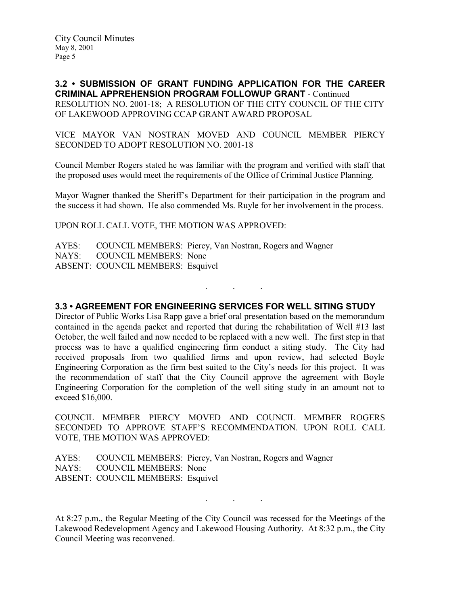3.2 • SUBMISSION OF GRANT FUNDING APPLICATION FOR THE CAREER CRIMINAL APPREHENSION PROGRAM FOLLOWUP GRANT - Continued RESOLUTION NO. 2001-18; A RESOLUTION OF THE CITY COUNCIL OF THE CITY OF LAKEWOOD APPROVING CCAP GRANT AWARD PROPOSAL

VICE MAYOR VAN NOSTRAN MOVED AND COUNCIL MEMBER PIERCY SECONDED TO ADOPT RESOLUTION NO. 2001-18

Council Member Rogers stated he was familiar with the program and verified with staff that the proposed uses would meet the requirements of the Office of Criminal Justice Planning.

Mayor Wagner thanked the Sheriff's Department for their participation in the program and the success it had shown. He also commended Ms. Ruyle for her involvement in the process.

UPON ROLL CALL VOTE, THE MOTION WAS APPROVED:

AYES: COUNCIL MEMBERS: Piercy, Van Nostran, Rogers and Wagner NAYS: COUNCIL MEMBERS: None ABSENT: COUNCIL MEMBERS: Esquivel

3.3 • AGREEMENT FOR ENGINEERING SERVICES FOR WELL SITING STUDY

. . .

Director of Public Works Lisa Rapp gave a brief oral presentation based on the memorandum contained in the agenda packet and reported that during the rehabilitation of Well #13 last October, the well failed and now needed to be replaced with a new well. The first step in that process was to have a qualified engineering firm conduct a siting study. The City had received proposals from two qualified firms and upon review, had selected Boyle Engineering Corporation as the firm best suited to the City's needs for this project. It was the recommendation of staff that the City Council approve the agreement with Boyle Engineering Corporation for the completion of the well siting study in an amount not to exceed \$16,000.

COUNCIL MEMBER PIERCY MOVED AND COUNCIL MEMBER ROGERS SECONDED TO APPROVE STAFF'S RECOMMENDATION. UPON ROLL CALL VOTE, THE MOTION WAS APPROVED:

AYES: COUNCIL MEMBERS: Piercy, Van Nostran, Rogers and Wagner NAYS: COUNCIL MEMBERS: None ABSENT: COUNCIL MEMBERS: Esquivel

At 8:27 p.m., the Regular Meeting of the City Council was recessed for the Meetings of the Lakewood Redevelopment Agency and Lakewood Housing Authority. At 8:32 p.m., the City Council Meeting was reconvened.

. . .